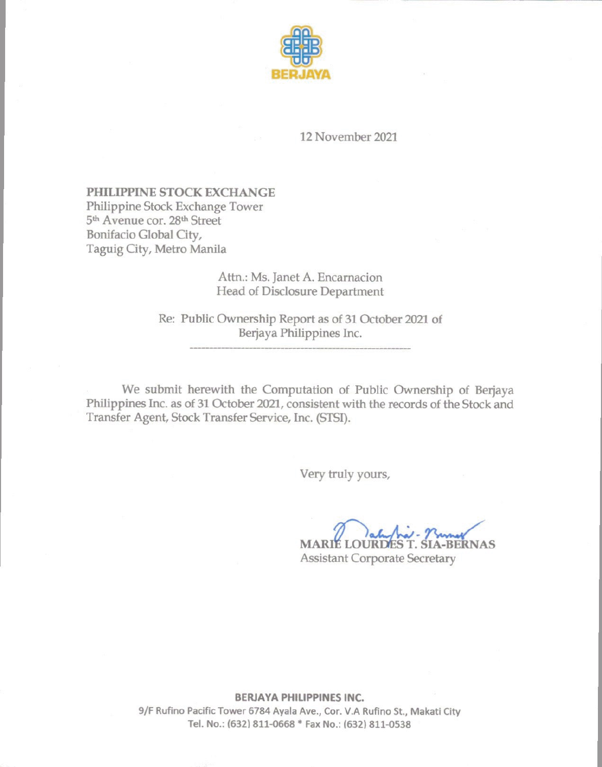

12 November 2021

## PHILIPPINE STOCK EXCHANGE Philippine Stock Exchange Tower 5<sup>th</sup> Avenue cor. 28<sup>th</sup> Street Bonifacio Global City,

Taguig City, Metro Manila

## Attn.: Ms. Janet A. Encarnacion Head of Disclosure Department

Re: Public Ownership Report as of 31 October 2021 of Berjaya Philippines Inc.

We submit herewith the Computation of Public Ownership of Berjaya Philippines Inc. as of 31 October 2021, consistent with the records of the Stock and Transfer Agent, Stock Transfer Service, Inc. (STSI).

Very truly yours,

**MARIÉ LOURDE A-BERNAS Assistant Corporate Secretary** 

**BERJAYA PHILIPPINES INC.** 

9/F Rufino Pacific Tower 6784 Ayala Ave., Cor. V.A Rufino St., Makati City Tel. No.: (632) 811-0668 \* Fax No.: (632) 811-0538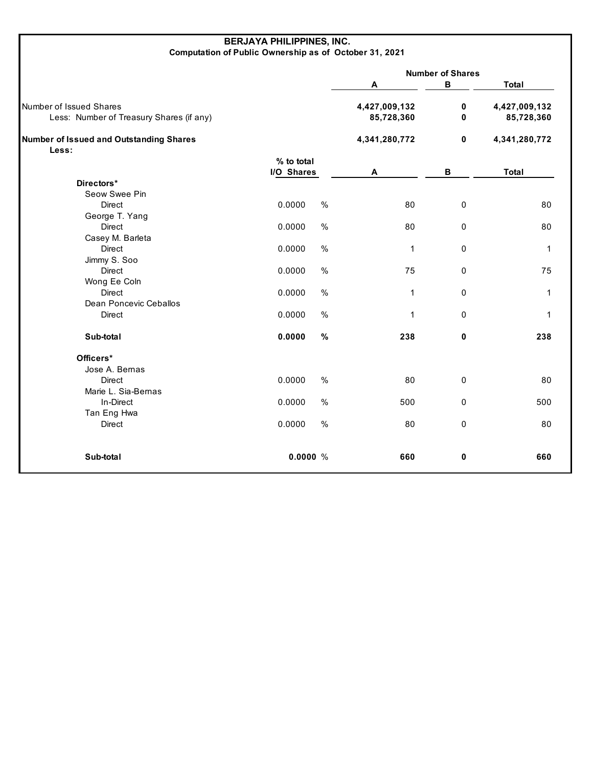## **BERJAYA PHILIPPINES, INC. Computation of Public Ownership as of October 31, 2021**

|                                          |                             |      | <b>Number of Shares</b> |               |               |
|------------------------------------------|-----------------------------|------|-------------------------|---------------|---------------|
|                                          |                             |      | A                       | В             | Total         |
| Number of Issued Shares                  |                             |      | 4,427,009,132           | $\pmb{0}$     | 4,427,009,132 |
| Less: Number of Treasury Shares (if any) | 85,728,360<br>4,341,280,772 |      |                         | $\mathbf 0$   | 85,728,360    |
| Number of Issued and Outstanding Shares  |                             |      | $\mathbf 0$             | 4,341,280,772 |               |
| Less:                                    |                             |      |                         |               |               |
|                                          | % to total                  |      |                         |               |               |
|                                          | I/O Shares                  |      | Α                       | В             | <b>Total</b>  |
| Directors*                               |                             |      |                         |               |               |
| Seow Swee Pin                            |                             |      |                         |               |               |
| <b>Direct</b>                            | 0.0000                      | $\%$ | 80                      | $\mathbf 0$   | 80            |
| George T. Yang                           |                             |      |                         |               |               |
| <b>Direct</b>                            | 0.0000                      | $\%$ | 80                      | 0             | 80            |
| Casey M. Barleta                         |                             |      |                         |               |               |
| <b>Direct</b>                            | 0.0000                      | $\%$ | $\mathbf{1}$            | 0             | $\mathbf 1$   |
| Jimmy S. Soo                             |                             |      |                         |               |               |
| <b>Direct</b>                            | 0.0000                      | $\%$ | 75                      | 0             | 75            |
| Wong Ee Coln                             |                             |      |                         |               |               |
| Direct                                   | 0.0000                      | $\%$ | 1                       | 0             | $\mathbf 1$   |
| Dean Poncevic Ceballos                   |                             |      |                         |               |               |
| Direct                                   | 0.0000                      | $\%$ | 1                       | 0             | 1             |
| Sub-total                                | 0.0000                      | $\%$ | 238                     | 0             | 238           |
| Officers*                                |                             |      |                         |               |               |
| Jose A. Bernas                           |                             |      |                         |               |               |
| Direct                                   | 0.0000                      | $\%$ | 80                      | $\pmb{0}$     | 80            |
| Marie L. Sia-Bernas                      |                             |      |                         |               |               |
| In-Direct                                | 0.0000                      | $\%$ | 500                     | 0             | 500           |
| Tan Eng Hwa                              |                             |      |                         |               |               |
| Direct                                   | 0.0000                      | $\%$ | 80                      | 0             | 80            |
| Sub-total                                | 0.0000%                     |      | 660                     | 0             | 660           |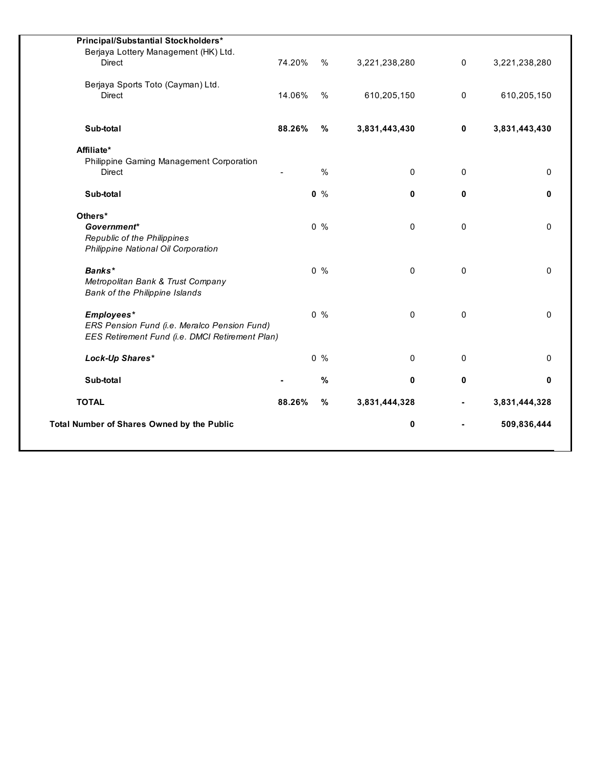| <b>Total Number of Shares Owned by the Public</b>         |        |               | 0             |             | 509,836,444   |
|-----------------------------------------------------------|--------|---------------|---------------|-------------|---------------|
| <b>TOTAL</b>                                              | 88.26% | $\%$          | 3,831,444,328 |             | 3,831,444,328 |
| Sub-total                                                 |        | $\%$          | 0             | 0           |               |
| Lock-Up Shares*                                           |        | $0\%$         | $\mathbf 0$   | 0           |               |
| EES Retirement Fund (i.e. DMCI Retirement Plan)           |        |               |               |             |               |
| ERS Pension Fund (i.e. Meralco Pension Fund)              |        |               |               |             |               |
| Employees*                                                |        | $0\%$         | $\mathbf 0$   | $\Omega$    |               |
| <b>Bank of the Philippine Islands</b>                     |        |               |               |             |               |
| Metropolitan Bank & Trust Company                         |        |               |               |             |               |
| Banks*                                                    |        | $0\%$         | $\mathbf 0$   | 0           |               |
| Philippine National Oil Corporation                       |        |               |               |             |               |
| <b>Republic of the Philippines</b>                        |        |               |               |             |               |
| Government*                                               |        | $0\%$         | $\mathbf{0}$  | $\Omega$    |               |
| Others*                                                   |        |               |               |             |               |
| Sub-total                                                 |        | $0\%$         | 0             | 0           |               |
|                                                           |        |               |               |             |               |
| Philippine Gaming Management Corporation<br><b>Direct</b> |        | $\frac{0}{0}$ | $\mathbf 0$   | $\Omega$    |               |
| Affiliate*                                                |        |               |               |             |               |
| Sub-total                                                 | 88.26% | $\%$          | 3,831,443,430 | $\mathbf 0$ | 3,831,443,430 |
|                                                           |        |               |               |             |               |
| <b>Direct</b>                                             | 14.06% | $\%$          | 610,205,150   | 0           | 610,205,150   |
| Berjaya Sports Toto (Cayman) Ltd.                         |        |               |               |             |               |
| <b>Direct</b>                                             | 74.20% | %             | 3,221,238,280 | $\mathbf 0$ | 3,221,238,280 |
| Berjaya Lottery Management (HK) Ltd.                      |        |               |               |             |               |